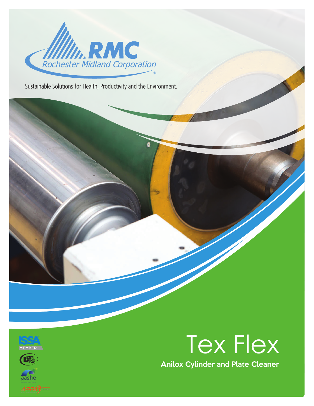

Sustainable Solutions for Health, Productivity and the Environment.







Anilox Cylinder and Plate Cleaner